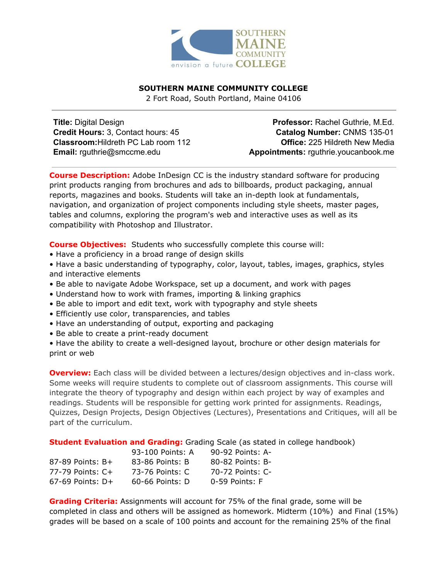

# **SOUTHERN MAINE COMMUNITY COLLEGE**

2 Fort Road, South Portland, Maine 04106

**Title:** Digital Design **Credit Hours:** 3, Contact hours: 45 **Classroom:**Hildreth PC Lab room 112 **Email:** rguthrie@smccme.edu

**Professor:** Rachel Guthrie, M.Ed. **Catalog Number:** CNMS 135-01 **Office:** 225 Hildreth New Media **Appointments:** rguthrie.youcanbook.me

**Course Description:** Adobe InDesign CC is the industry standard software for producing print products ranging from brochures and ads to billboards, product packaging, annual reports, magazines and books. Students will take an in-depth look at fundamentals, navigation, and organization of project components including style sheets, master pages, tables and columns, exploring the program's web and interactive uses as well as its compatibility with Photoshop and Illustrator.

**Course Objectives:** Students who successfully complete this course will:

- Have a proficiency in a broad range of design skills
- Have a basic understanding of typography, color, layout, tables, images, graphics, styles and interactive elements
- Be able to navigate Adobe Workspace, set up a document, and work with pages
- Understand how to work with frames, importing & linking graphics
- Be able to import and edit text, work with typography and style sheets
- Efficiently use color, transparencies, and tables
- Have an understanding of output, exporting and packaging
- Be able to create a print-ready document

• Have the ability to create a well-designed layout, brochure or other design materials for print or web

**Overview:** Each class will be divided between a lectures/design objectives and in-class work. Some weeks will require students to complete out of classroom assignments. This course will integrate the theory of typography and design within each project by way of examples and readings. Students will be responsible for getting work printed for assignments. Readings, Quizzes, Design Projects, Design Objectives (Lectures), Presentations and Critiques, will all be part of the curriculum.

**Student Evaluation and Grading:** Grading Scale (as stated in college handbook)

|                      | 93-100 Points: A | 90-92 Points: A- |
|----------------------|------------------|------------------|
| $87-89$ Points: B+   | 83-86 Points: B  | 80-82 Points: B- |
| $77-79$ Points: $C+$ | 73-76 Points: C  | 70-72 Points: C- |
| $67-69$ Points: D+   | 60-66 Points: D  | $0-59$ Points: F |

**Grading Criteria:** Assignments will account for 75% of the final grade, some will be completed in class and others will be assigned as homework. Midterm (10%) and Final (15%) grades will be based on a scale of 100 points and account for the remaining 25% of the final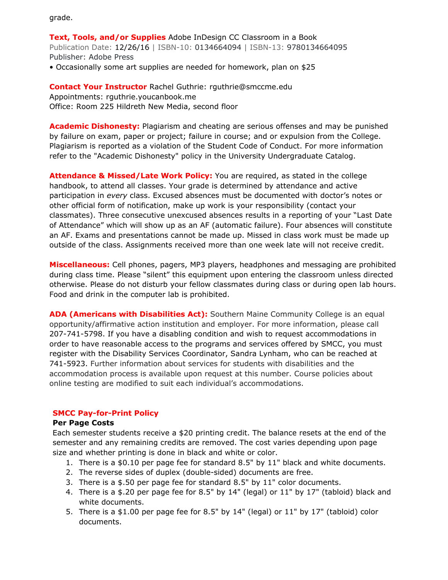grade.

**Text, Tools, and/or Supplies** Adobe InDesign CC Classroom in a Book Publication Date: 12/26/16 | ISBN-10: 0134664094 | ISBN-13: 9780134664095 Publisher: Adobe Press

• Occasionally some art supplies are needed for homework, plan on \$25

**Contact Your Instructor** Rachel Guthrie: rguthrie@smccme.edu Appointments: rguthrie.youcanbook.me Office: Room 225 Hildreth New Media, second floor

**Academic Dishonesty:** Plagiarism and cheating are serious offenses and may be punished by failure on exam, paper or project; failure in course; and or expulsion from the College. Plagiarism is reported as a violation of the Student Code of Conduct. For more information refer to the "Academic Dishonesty" policy in the University Undergraduate Catalog.

**Attendance & Missed/Late Work Policy:** You are required, as stated in the college handbook, to attend all classes. Your grade is determined by attendance and active participation in *every* class. Excused absences must be documented with doctor's notes or other official form of notification, make up work is your responsibility (contact your classmates). Three consecutive unexcused absences results in a reporting of your "Last Date of Attendance" which will show up as an AF (automatic failure). Four absences will constitute an AF. Exams and presentations cannot be made up. Missed in class work must be made up outside of the class. Assignments received more than one week late will not receive credit.

**Miscellaneous:** Cell phones, pagers, MP3 players, headphones and messaging are prohibited during class time. Please "silent" this equipment upon entering the classroom unless directed otherwise. Please do not disturb your fellow classmates during class or during open lab hours. Food and drink in the computer lab is prohibited.

**ADA (Americans with Disabilities Act):** Southern Maine Community College is an equal opportunity/affirmative action institution and employer. For more information, please call 207-741-5798. If you have a disabling condition and wish to request accommodations in order to have reasonable access to the programs and services offered by SMCC, you must register with the Disability Services Coordinator, Sandra Lynham, who can be reached at 741-5923. Further information about services for students with disabilities and the accommodation process is available upon request at this number. Course policies about online testing are modified to suit each individual's accommodations.

# **SMCC Pay-for-Print Policy**

# **Per Page Costs**

Each semester students receive a \$20 printing credit. The balance resets at the end of the semester and any remaining credits are removed. The cost varies depending upon page size and whether printing is done in black and white or color.

- 1. There is a \$0.10 per page fee for standard 8.5" by 11" black and white documents.
- 2. The reverse sides of duplex (double-sided) documents are free.
- 3. There is a \$.50 per page fee for standard 8.5" by 11" color documents.
- 4. There is a \$.20 per page fee for 8.5" by 14" (legal) or 11" by 17" (tabloid) black and white documents.
- 5. There is a \$1.00 per page fee for 8.5" by 14" (legal) or 11" by 17" (tabloid) color documents.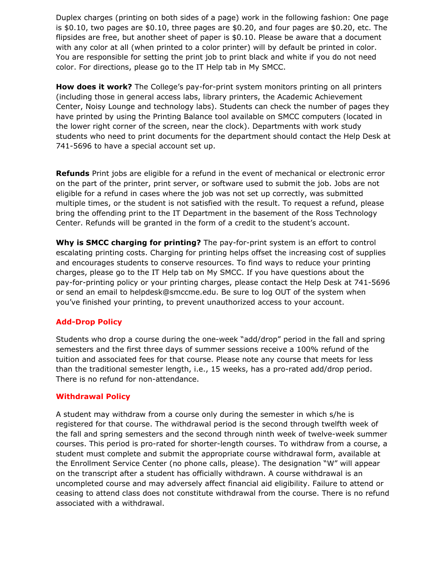Duplex charges (printing on both sides of a page) work in the following fashion: One page is \$0.10, two pages are \$0.10, three pages are \$0.20, and four pages are \$0.20, etc. The flipsides are free, but another sheet of paper is \$0.10. Please be aware that a document with any color at all (when printed to a color printer) will by default be printed in color. You are responsible for setting the print job to print black and white if you do not need color. For directions, please go to the IT Help tab in My SMCC.

**How does it work?** The College's pay-for-print system monitors printing on all printers (including those in general access labs, library printers, the Academic Achievement Center, Noisy Lounge and technology labs). Students can check the number of pages they have printed by using the Printing Balance tool available on SMCC computers (located in the lower right corner of the screen, near the clock). Departments with work study students who need to print documents for the department should contact the Help Desk at 741-5696 to have a special account set up.

**Refunds** Print jobs are eligible for a refund in the event of mechanical or electronic error on the part of the printer, print server, or software used to submit the job. Jobs are not eligible for a refund in cases where the job was not set up correctly, was submitted multiple times, or the student is not satisfied with the result. To request a refund, please bring the offending print to the IT Department in the basement of the Ross Technology Center. Refunds will be granted in the form of a credit to the student's account.

**Why is SMCC charging for printing?** The pay-for-print system is an effort to control escalating printing costs. Charging for printing helps offset the increasing cost of supplies and encourages students to conserve resources. To find ways to reduce your printing charges, please go to the IT Help tab on My SMCC. If you have questions about the pay-for-printing policy or your printing charges, please contact the Help Desk at 741-5696 or send an email to helpdesk@smccme.edu. Be sure to log OUT of the system when you've finished your printing, to prevent unauthorized access to your account.

### **Add-Drop Policy**

Students who drop a course during the one-week "add/drop" period in the fall and spring semesters and the first three days of summer sessions receive a 100% refund of the tuition and associated fees for that course. Please note any course that meets for less than the traditional semester length, i.e., 15 weeks, has a pro-rated add/drop period. There is no refund for non-attendance.

### **Withdrawal Policy**

A student may withdraw from a course only during the semester in which s/he is registered for that course. The withdrawal period is the second through twelfth week of the fall and spring semesters and the second through ninth week of twelve-week summer courses. This period is pro-rated for shorter-length courses. To withdraw from a course, a student must complete and submit the appropriate course withdrawal form, available at the Enrollment Service Center (no phone calls, please). The designation "W" will appear on the transcript after a student has officially withdrawn. A course withdrawal is an uncompleted course and may adversely affect financial aid eligibility. Failure to attend or ceasing to attend class does not constitute withdrawal from the course. There is no refund associated with a withdrawal.